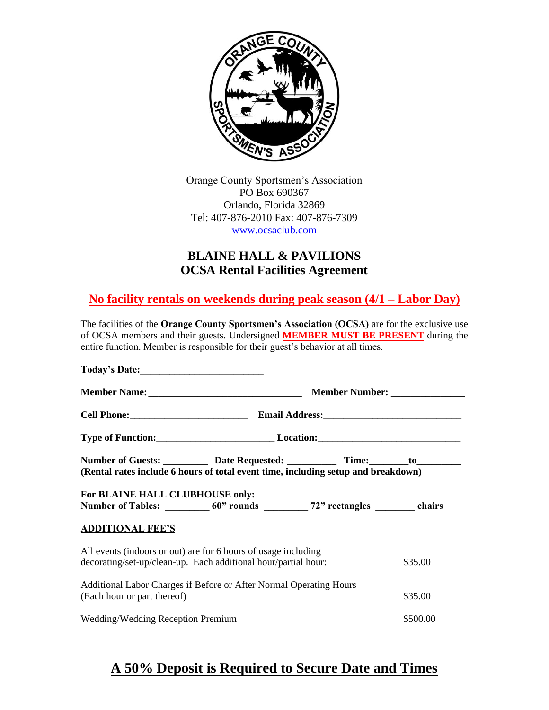

Orange County Sportsmen's Association PO Box 690367 Orlando, Florida 32869 Tel: 407-876-2010 Fax: 407-876-7309 [www.ocsaclub.com](http://www.ocsaclub.com/)

# **BLAINE HALL & PAVILIONS OCSA Rental Facilities Agreement**

**No facility rentals on weekends during peak season (4/1 – Labor Day)**

The facilities of the **Orange County Sportsmen's Association (OCSA)** are for the exclusive use of OCSA members and their guests. Undersigned **MEMBER MUST BE PRESENT** during the entire function. Member is responsible for their guest's behavior at all times.

| Today's Date:                                                                             |                                |          |         |
|-------------------------------------------------------------------------------------------|--------------------------------|----------|---------|
|                                                                                           | Member Number: _______________ |          |         |
|                                                                                           |                                |          |         |
|                                                                                           |                                |          |         |
| Number of Guests: ____________ Date Requested: _____________ Time: _________ to__________ |                                |          |         |
| (Rental rates include 6 hours of total event time, including setup and breakdown)         |                                |          |         |
| For BLAINE HALL CLUBHOUSE only:                                                           |                                |          |         |
| Number of Tables: 60" rounds 72" rectangles hairs chairs                                  |                                |          |         |
| <b>ADDITIONAL FEE'S</b>                                                                   |                                |          |         |
| All events (indoors or out) are for 6 hours of usage including                            |                                |          |         |
| decorating/set-up/clean-up. Each additional hour/partial hour:<br>\$35.00                 |                                |          |         |
| Additional Labor Charges if Before or After Normal Operating Hours                        |                                |          |         |
| (Each hour or part thereof)                                                               |                                |          | \$35.00 |
| Wedding/Wedding Reception Premium                                                         |                                | \$500.00 |         |

# **A 50% Deposit is Required to Secure Date and Times**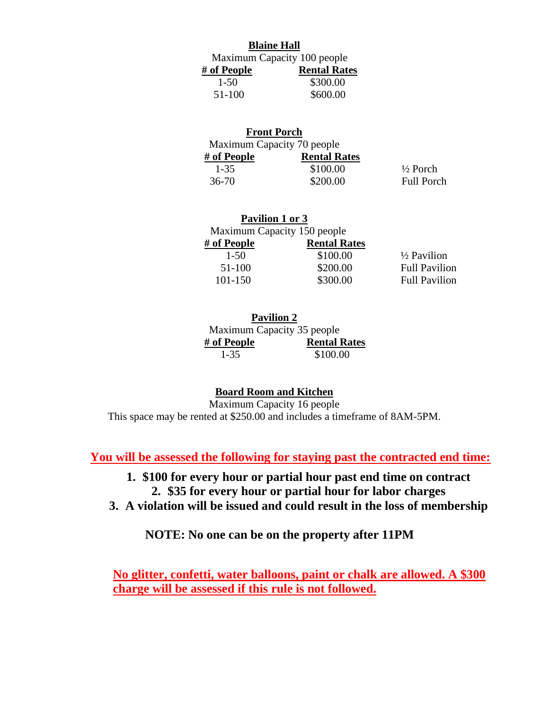|                             | <b>Blaine Hall</b>  |  |
|-----------------------------|---------------------|--|
| Maximum Capacity 100 people |                     |  |
| # of People                 | <b>Rental Rates</b> |  |
| $1 - 50$                    | \$300.00            |  |
| 51-100                      | \$600.00            |  |

| <b>Front Porch</b>         |                     |                     |
|----------------------------|---------------------|---------------------|
| Maximum Capacity 70 people |                     |                     |
| # of People                | <b>Rental Rates</b> |                     |
| $1 - 35$                   | \$100.00            | $\frac{1}{2}$ Porch |
| 36-70                      | \$200.00            | <b>Full Porch</b>   |

| Pavilion 1 or 3             |                     |                        |
|-----------------------------|---------------------|------------------------|
| Maximum Capacity 150 people |                     |                        |
| # of People                 | <b>Rental Rates</b> |                        |
| $1 - 50$                    | \$100.00            | $\frac{1}{2}$ Pavilion |
| 51-100                      | \$200.00            | <b>Full Pavilion</b>   |
| 101-150                     | \$300.00            | <b>Full Pavilion</b>   |

| <b>Pavilion 2</b> |                            |  |
|-------------------|----------------------------|--|
|                   | Maximum Capacity 35 people |  |
| # of People       | <b>Rental Rates</b>        |  |
| 1-35              | \$100.00                   |  |

## **Board Room and Kitchen**

Maximum Capacity 16 people This space may be rented at \$250.00 and includes a timeframe of 8AM-5PM.

**You will be assessed the following for staying past the contracted end time:**

- **1. \$100 for every hour or partial hour past end time on contract 2. \$35 for every hour or partial hour for labor charges**
- **3. A violation will be issued and could result in the loss of membership**

**NOTE: No one can be on the property after 11PM**

**No glitter, confetti, water balloons, paint or chalk are allowed. A \$300 charge will be assessed if this rule is not followed.**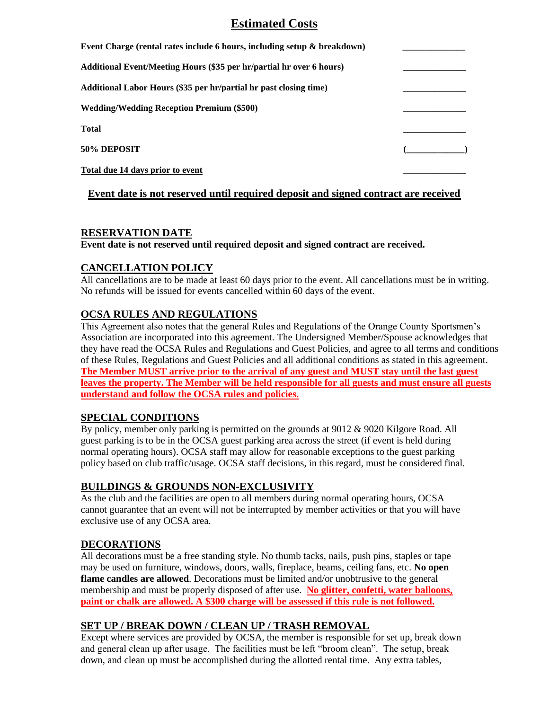# **Estimated Costs**

| Event Charge (rental rates include 6 hours, including setup & breakdown) |  |
|--------------------------------------------------------------------------|--|
| Additional Event/Meeting Hours (\$35 per hr/partial hr over 6 hours)     |  |
| Additional Labor Hours (\$35 per hr/partial hr past closing time)        |  |
| <b>Wedding/Wedding Reception Premium (\$500)</b>                         |  |
| Total                                                                    |  |
| 50% DEPOSIT                                                              |  |
| <u>Total due 14 days prior to event</u>                                  |  |

#### **Event date is not reserved until required deposit and signed contract are received**

#### **RESERVATION DATE**

**Event date is not reserved until required deposit and signed contract are received.** 

#### **CANCELLATION POLICY**

All cancellations are to be made at least 60 days prior to the event. All cancellations must be in writing. No refunds will be issued for events cancelled within 60 days of the event.

## **OCSA RULES AND REGULATIONS**

This Agreement also notes that the general Rules and Regulations of the Orange County Sportsmen's Association are incorporated into this agreement. The Undersigned Member/Spouse acknowledges that they have read the OCSA Rules and Regulations and Guest Policies, and agree to all terms and conditions of these Rules, Regulations and Guest Policies and all additional conditions as stated in this agreement. **The Member MUST arrive prior to the arrival of any guest and MUST stay until the last guest leaves the property. The Member will be held responsible for all guests and must ensure all guests understand and follow the OCSA rules and policies.**

#### **SPECIAL CONDITIONS**

By policy, member only parking is permitted on the grounds at 9012 & 9020 Kilgore Road. All guest parking is to be in the OCSA guest parking area across the street (if event is held during normal operating hours). OCSA staff may allow for reasonable exceptions to the guest parking policy based on club traffic/usage. OCSA staff decisions, in this regard, must be considered final.

## **BUILDINGS & GROUNDS NON-EXCLUSIVITY**

As the club and the facilities are open to all members during normal operating hours, OCSA cannot guarantee that an event will not be interrupted by member activities or that you will have exclusive use of any OCSA area.

## **DECORATIONS**

All decorations must be a free standing style. No thumb tacks, nails, push pins, staples or tape may be used on furniture, windows, doors, walls, fireplace, beams, ceiling fans, etc. **No open flame candles are allowed**. Decorations must be limited and/or unobtrusive to the general membership and must be properly disposed of after use. **No glitter, confetti, water balloons, paint or chalk are allowed. A \$300 charge will be assessed if this rule is not followed.**

## **SET UP / BREAK DOWN / CLEAN UP / TRASH REMOVAL**

Except where services are provided by OCSA, the member is responsible for set up, break down and general clean up after usage. The facilities must be left "broom clean". The setup, break down, and clean up must be accomplished during the allotted rental time. Any extra tables,